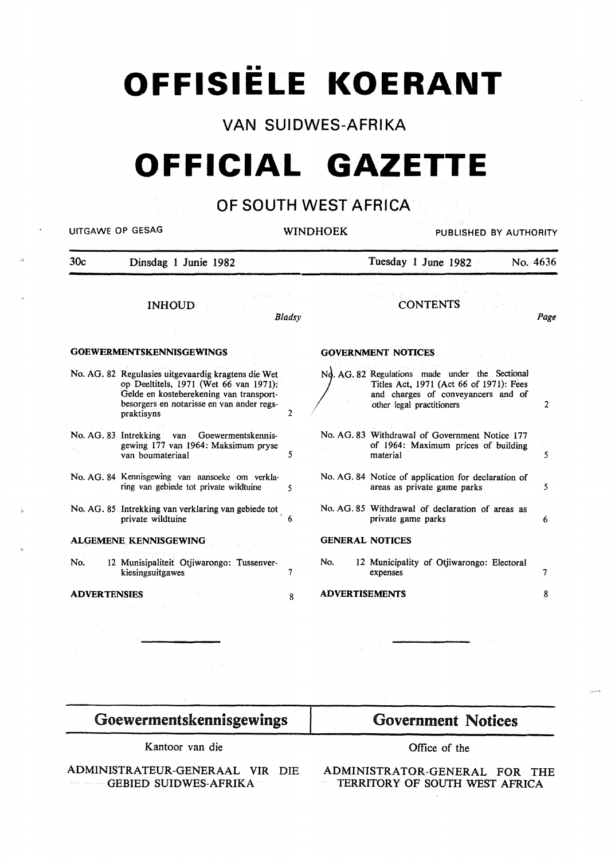# **OFFISIËLE KOERANT**

# **VAN SUIDWES-AFRIKA**

# **OFFICIAL GAZETTE**

# **OF SOUTH WEST AFRICA**

| <b>UITGAWE OP GESAG</b> |                                                                                                                                                                                                     | <b>WINDHOEK</b> |                       | PUBLISHED BY AUTHORITY                                                                                                                                        |          |
|-------------------------|-----------------------------------------------------------------------------------------------------------------------------------------------------------------------------------------------------|-----------------|-----------------------|---------------------------------------------------------------------------------------------------------------------------------------------------------------|----------|
| 30 <sub>c</sub>         | Dinsdag 1 Junie 1982                                                                                                                                                                                |                 |                       | Tuesday 1 June 1982                                                                                                                                           | No. 4636 |
|                         | (2012-28) 计打印机<br><b>INHOUD</b>                                                                                                                                                                     | Bladsv          |                       | TECHNOLOGICAL SERVICES AND RESERVANCE<br><b>CONTENTS</b>                                                                                                      | Page     |
|                         | <b>GOEWERMENTSKENNISGEWINGS</b>                                                                                                                                                                     |                 |                       | <b>GOVERNMENT NOTICES</b>                                                                                                                                     |          |
|                         | No. AG. 82 Regulasies uitgevaardig kragtens die Wet<br>op Deeltitels, 1971 (Wet 66 van 1971):<br>Gelde en kosteberekening van transport-<br>besorgers en notarisse en van ander regs-<br>praktisyns | 2               |                       | No. AG. 82 Regulations made under the Sectional<br>Titles Act, 1971 (Act 66 of 1971): Fees<br>and charges of conveyancers and of<br>other legal practitioners | 2        |
|                         | No. AG. 83 Intrekking van Goewermentskennis-<br>gewing 177 van 1964: Maksimum pryse<br>van boumateriaal                                                                                             | 5               |                       | No. AG. 83 Withdrawal of Government Notice 177<br>of 1964: Maximum prices of building<br>material                                                             | 5        |
|                         | No. AG. 84 Kennisgewing van aansoeke om verkla-<br>ring van gebiede tot private wildtuine                                                                                                           | 5               |                       | No. AG. 84 Notice of application for declaration of<br>areas as private game parks                                                                            | 5        |
|                         | No. AG. 85 Intrekking van verklaring van gebiede tot<br>private wildtuine                                                                                                                           |                 |                       | No. AG. 85 Withdrawal of declaration of areas as<br>private game parks                                                                                        | 6        |
|                         | <b>ALGEMENE KENNISGEWING</b>                                                                                                                                                                        |                 |                       | <b>GENERAL NOTICES</b>                                                                                                                                        |          |
| No.                     | 12 Munisipaliteit Otjiwarongo: Tussenver-<br>kiesingsuitgawes                                                                                                                                       | 7               | No.                   | 12 Municipality of Otjiwarongo: Electoral<br>expenses                                                                                                         | 7        |
|                         | <b>ADVERTENSIES</b><br>第四十二章 一定                                                                                                                                                                     | 8               | <b>ADVERTISEMENTS</b> |                                                                                                                                                               | 8        |
|                         |                                                                                                                                                                                                     |                 |                       |                                                                                                                                                               |          |

# Goewermentskennisgewings

Kantoor van die

 $\cdot$ 

ADMINISTRATEUR-GENERAAL VIR DIE **GEBIED SUIDWES-AFRIKA** 

# Government Notices

Office of the

ADMINISTRATOR-GENERAL FOR THE TERRITORY OF SOUTH WEST AFRICA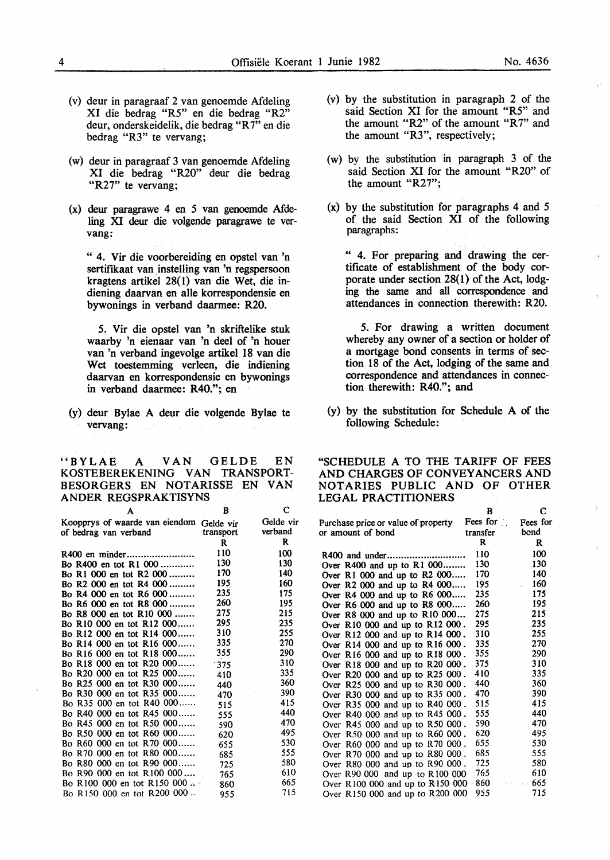- (v) deur in paragraaf 2 van genoemde Mdeling XI die bedrag "R5" en die bedrag "R2" deur, onderskeidelik, die bedrag "R7" en die bedrag "R3" te vervang;
- (w) deur in paragraaf 3 van genoemde Mdeling XI die bedrag "R20" deur die bedrag "R27" te vervang;
- (x) deur paragrawe 4 en *5* van genoemde Mdeling XI deur die volgende paragrawe te vervang:

" 4. Vir die voorbereiding en opstel van 'n sertifikaat van instelling van 'n regspersoon kragtens artikel 28( 1) van die Wet, die indiening daarvan en aile korrespondensie en bywonings in verband daarmee: R20.

5. Vir die opstel van 'n skriftelike stuk waarby 'n eienaar van 'n deel of 'n houer van 'n verband ingevolge artikel 18 van die Wet toestemming verleen, die indiening daarvan en korrespondensie en bywonings in verband daarmee: R40."; en

(y) deur Bylae A deur die volgende Bylae te vervang:

"BYLAE A VAN GELDE EN KOSTEBEREKENING VAN TRANSPORT-BESORGERS EN NOTARISSE EN VAN ANDER REGSPRAKTISYNS c

| A                                                                 | R         | с                    |
|-------------------------------------------------------------------|-----------|----------------------|
| Koopprys of waarde van eiendom Gelde vir<br>of bedrag van verband | transport | Gelde vir<br>verband |
|                                                                   | R         | R                    |
|                                                                   | 110       | 100                  |
| Bo R400 en tot R1 000                                             | 130       | 130                  |
| Bo R1 000 en tot R2 000                                           | 170       | 140                  |
| Bo R2 000 en tot R4 000                                           | 195       | 160                  |
| Bo R4 000 en tot R6 000                                           | - 235     | 175                  |
| Bo R6 000 en tot R8 000                                           | 260       | 195                  |
| Bo R8 000 en tot R10 000                                          | 275       | 215                  |
| Bo R10 000 en tot R12 000                                         | 295       | 235                  |
| Bo R12 000 en tot R14 000                                         | 310       | 255                  |
| Bo R14 000 en tot R16 000                                         | 335       | 270                  |
| Bo R16 000 en tot R18 000                                         | 355       | 290                  |
| Bo R18 000 en tot R20 000                                         | 375       | 310                  |
| Bo R20 000 en tot R25 000                                         | 410       | 335                  |
| Bo R25 000 en tot R30 000                                         | - 440     | 360                  |
| Bo R30 000 en tot R35 000                                         | 470       | 390                  |
| Bo R35 000 en tot R40 000                                         | 515       | 415                  |
| Bo R40 000 en tot R45 000                                         | 555       | 440                  |
| Bo R45 000 en tot R50 000                                         | 590       | 470                  |
| Bo R50 000 en tot R60 000                                         | 620       | 495                  |
| Bo R60 000 en tot R70 000                                         | - 655     | 530                  |
| Bo R70 000 en tot R80 000 685                                     |           | 555                  |
| Bo R80 000 en tot R90 000 725                                     |           | 580                  |
| Bo R90 000 en tot R100 000                                        | 765       | 610                  |
| Bo R100 000 en tot R150 000                                       | 860       | 665                  |
| Bo R150 000 en tot R200 000.                                      | 955       | 715                  |

- (v) by the substitution in paragraph 2 of the said Section XI for the amount "R5" and the amount "R2" of the amount "R7" and the amount "R3", respectively;
- ( w) by the substitution in paragraph 3 of the said Section XI for the amount "R20" of the amount "R27";
- (x) by the substitution for paragraphs 4 and *5*  of the said Section XI of the following paragraphs:

" 4. For preparing and drawing the certificate of establishment of the body corporate under section 28(1) of the Act, lodging the same and all correspondence and attendances in connection therewith: R20.

5. For drawing a written document whereby any owner of a section or holder of a mortgage bond consents in terms of section 18 of the Act, lodging of the same and correspondence and attendances in connection therewith: R40.''; and

(y) by the substitution for Schedule A of the following Schedule:

#### "SCHEDULE A TO THE TARIFF OF FEES AND CHARGES OF CONVEYANCERS AND NOTARIES PUBLIC AND OF OTHER LEGAL PRACTITIONERS

|                                            | в                               | C        |
|--------------------------------------------|---------------------------------|----------|
| Purchase price or value of property        | Fees for $\ddot{\phantom{a}}$ . | Fees for |
| or amount of bond                          | transfer                        | bond     |
|                                            | R                               | R        |
|                                            | 110                             | 100      |
| Over $R400$ and up to $R1000$              | 130                             | .130     |
| Over R1 000 and up to R2 000               | 170 -                           | 140      |
| Over R2 000 and up to R4 000               | 195                             | 160      |
| Over R4 000 and up to R6 000               | 235                             | 175      |
| Over R6 000 and up to R8 000               | 260                             | 195      |
| Over R8 000 and up to R10 000              | 275                             | 215      |
| Over R10 000 and up to R12 000.            | 295.                            | 235      |
| Over R12 000 and up to R14 000.            | 310                             | 255      |
| Over R14 000 and up to R16 000.            | 335.                            | 270      |
| Over R16 000 and up to R18 000.            | 355                             | 290      |
| Over R18 000 and up to R20 000.            | 375                             | 310      |
| Over R20 000 and up to R25 000.            | 410                             | 335      |
| Over R25 000 and up to R30 000.            | 440                             | 360      |
| Over R30 000 and up to R35 000.            | 470                             | 390      |
| Over R35 000 and up to R40 000.            | 515                             | 415      |
| Over R40 000 and up to R45 000.            | 555.                            | 440      |
| Over R45 000 and up to R50 000.            | 590                             | 470      |
| Over R50 000 and up to R60 000.            | 620                             | 495      |
| Over R60 000 and up to R70 000.            | 655                             | 530      |
| Over R70 000 and up to R80 000.            | 685                             | 555      |
| Over R80 000 and up to R90 000.            | 725                             | 580      |
| Over R90 000 and up to R100 000            | 765                             | 610      |
| Over R100 000 and up to R150 000 $\degree$ | 860                             | . 665.   |
| Over R150 000 and up to R200 000           | 955                             | 715      |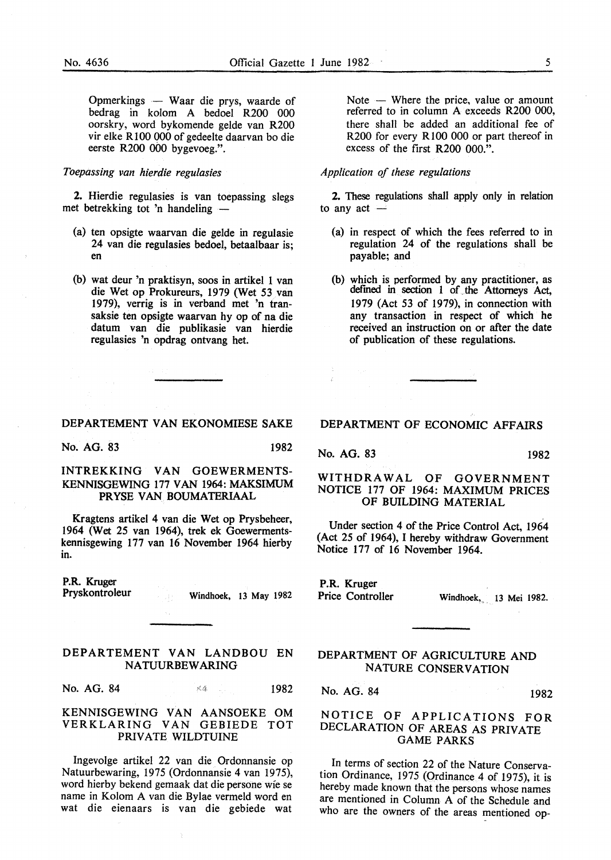Opmerkings - Waar die prys, waarde of bedrag in kolom A bedoel R200 000 oorskry, word bykomende gelde van R200 vir elke R 100 000 of gedeelte daarvan bo die eerste R200 000 bygevoeg.".

### *Toepassing van hierdie regulasies*

2. Hierdie regulasies is van toepassing slegs met betrekking tot 'n handeling -

- (a) ten opsigte waarvan die gelde in regulasie 24 van die regulasies bedoel, betaalbaar is; en
- (b) wat deur 'n praktisyn, soos in artikel 1 van die Wet op Prokureurs, 1979 (Wet 53 van 1979), verrig is in verband met 'n transaksie ten opsigte waarvan hy op of na die datum van die publikasie van hierdie regulasies 'n opdrag ontvang het.

#### DEPARTEMENT VAN EKONOMIESE SAKE

No. AG. 83 1982

#### INTREKKING VAN GOEWERMENTS-KENNISGEWING 177 VAN 1964: MAKSIMUM PRYSE VAN BOUMATERIAAL

Kragtens artikel 4 van die Wet op Prysbeheer, 1964 (Wet 25 van 1964), trek ek Goewermentskennisgewing 177 van 16 November 1964 hierby in.

P.R. Kruger

Pryskontroleur Windhoek, 13 May 1982

#### DEPARTEMENT VAN LANDBOU EN NATUURBEW ARING

 $\tau_{\rm eff}$ 

No. AG. 84 1982

#### KENNISGEWING VAN AANSOEKE OM VERKLARING VAN GEBIEDE TOT PRIVATE WILDTUINE

Ingevolge artikel 22 van die Ordonnansie op Natuurbewaring, 1975 (Ordonnansie 4 van 1975), word hierby bekend gemaak dat die persone wie se name in Kolom A van die Bylae vermeld word en wat die eienaars is van die gebiede wat

Note  $-$  Where the price, value or amount referred to in column A exceeds R200 000, there shall be added an additional fee of R200 for every R 100 000 or part thereof in excess of the first R200 000.".

#### *Application of these regulations*

2. These regulations shall apply only in relation to any  $act -$ 

- (a) in respect of which the fees referred to in regulation 24 of the regulations shall be payable; and
- (b) which is performed by any practitioner, as defmed in section 1 of\_ the Attorneys Act, 1979 (Act 53 of 1979), in connection with any transaction in respect of which he received an instruction on or after the date of publication of these regulations.

#### DEPARTMENT OF ECONOMIC AFFAIRS

No. AG. 83 1982

#### WITHDRAWAL OF GOVERNMENT NOTICE 177 OF 1964: MAXIMUM PRICES OF BUILDING MATERIAL

Under section 4 of the Price Control Act, 1964 (Act 25 of 1964), I hereby withdraw Government Notice 177 of 16 November 1964.

P.R. Kruger

Price Controller Windhoek, 13 Mei 1982.

#### DEPARTMENT OF AGRICULTURE AND NATURE CONSERVATION

No. AG. 84 1982

#### NOTICE OF APPLICATIONS FOR DECLARATION OF AREAS AS PRIVATE GAME PARKS

In terms of section 22 of the Nature Conservation Ordinance, 1975 (Ordinance 4 of 1975), it is hereby made known that the persons whose names are mentioned in Column A of the Schedule and who are the owners of the areas mentioned op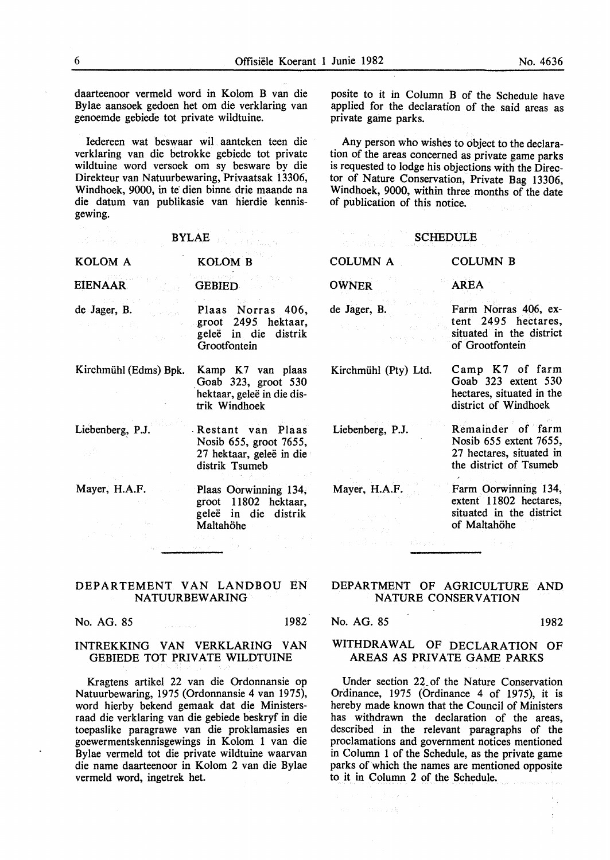daarteenoor vermeld word in Kolom B van die Bylae aansoek gedoen het om die verklaring van genoemde gebiede tot private wildtuine.

Iedereen wat beswaar wil aanteken teen die verklaring van die betrokke gebiede tot private wildtuine word versoek om sy besware by die Direkteur van Natuurbewaring, Privaatsak 13306, Windhoek, 9000, in te dien binne drie maande na die datum van publikasie van hierdie kennisgewing.

posite to it in Column B of the Schedule have applied for the declaration of the said areas as private game parks.

Any person who wishes to object to the declaration of the areas concerned as private game parks is requested to lodge his objections with the Director of Nature Conservation, Private Bag 13306, Windhoek, 9000, within three months of the date of publication of this notice.

|                       | <b>BYLAE</b>                                                                              | <b>SCHEDULE</b>      |                                                                                                   |
|-----------------------|-------------------------------------------------------------------------------------------|----------------------|---------------------------------------------------------------------------------------------------|
| KOLOM A               | <b>KOLOM B</b>                                                                            | <b>COLUMN A</b>      | <b>COLUMN B</b>                                                                                   |
| <b>EIENAAR</b>        | <b>GEBIED</b>                                                                             | <b>OWNER</b>         | <b>AREA</b>                                                                                       |
| de Jager, B.          | Plaas Norras 406,<br>groot 2495 hektaar,<br>geleë in die distrik<br>Grootfontein          | de Jager, B.         | Farm Norras 406, ex-<br>tent 2495 hectares,<br>situated in the district<br>of Grootfontein        |
| Kirchmühl (Edms) Bpk. | Kamp K7 van plaas<br>Goab 323, groot 530<br>hektaar, geleë in die dis-<br>trik Windhoek   | Kirchmühl (Pty) Ltd. | Camp K7 of farm<br>Goab 323 extent 530<br>hectares, situated in the<br>district of Windhoek       |
| Liebenberg, P.J.      | Restant van Plaas<br>Nosib 655, groot 7655,<br>27 hektaar, geleë in die<br>distrik Tsumeb | Liebenberg, P.J.     | Remainder of farm<br>Nosib 655 extent 7655,<br>27 hectares, situated in<br>the district of Tsumeb |
| Mayer, H.A.F.         | Plaas Oorwinning 134,<br>groot 11802 hektaar,<br>geleë in die distrik<br>Maltahöhe        | Mayer, H.A.F.        | Farm Oorwinning 134,<br>extent 11802 hectares,<br>situated in the district<br>of Maltahöhe        |
|                       |                                                                                           | a Sanche             |                                                                                                   |

#### DEPARTEMENT VAN LANDBOU EN NATUURBEW ARING

No. AG. 85 1982

#### INTREKKING VAN VERKLARING VAN GEBIEDE TOT PRIVATE WILDTUINE

Kragtens artikel 22 van die Ordonnansie op Natuurbewaring, 1975 (Ordonnansie 4 van 1975), word hierby bekend gemaak dat die Ministersraad die verklaring van die gebiede beskryf in die toepaslike paragrawe van die proklamasies en goewermentskennisgewings in Kolom 1 van die Bylae vermeld tot die private wildtuine waarvan die name daarteenoor in Kolom 2 van die Bylae vermeld word, ingetrek het.

#### DEPARTMENT OF AGRICULTURE AND NATURE CONSERVATION

No. AG. 85 1982

一旦分泌病

#### WITHDRAWAL OF DECLARATION OF AREAS AS PRIVATE GAME PARKS

Under section 22\_ of the Nature Conservation Ordinance, 1975 (Ordinance 4 of 1975), it is hereby made known that the Council of Ministers has withdrawn the declaration of the areas, described in the relevant paragraphs of the proclamations and government notices mentioned in Column 1 of the Schedule, as the private game parks of which the names are mentioned opposite to it in Column 2 of the Schedule.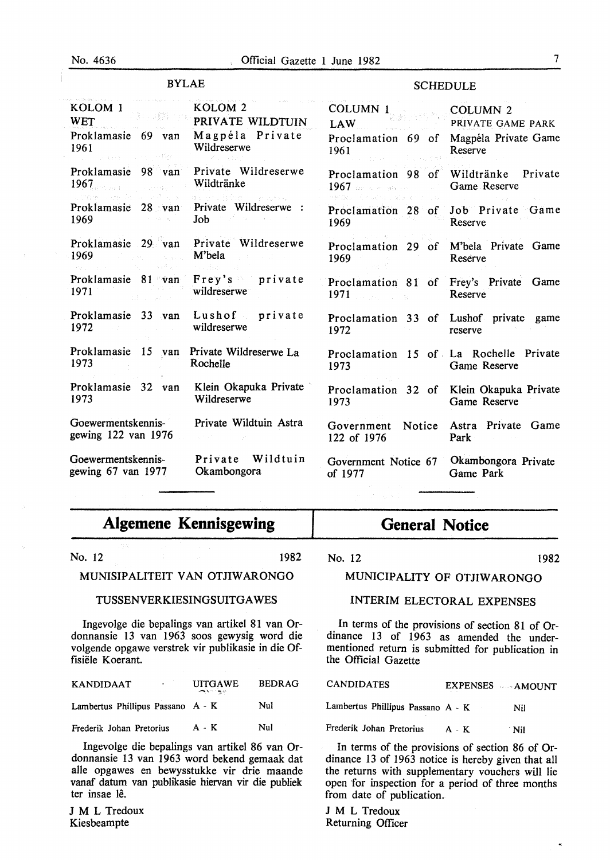#### BYLAE

#### **SCHEDULE**

| KOLOM <sub>1</sub><br><b>WET</b>                   | concern and payable<br>그 그 친구 | KOLOM <sub>2</sub><br>PRIVATE WILDTUIN                           | COLUMN <sub>1</sub><br>LAW                                     | COLUMN <sub>2</sub><br>PRIVATE GAME PARK |
|----------------------------------------------------|-------------------------------|------------------------------------------------------------------|----------------------------------------------------------------|------------------------------------------|
| Proklamasie 69 van<br>1961                         |                               | Magpéla Private<br>Wildreserwe                                   | Proclamation 69 of<br>1961                                     | Magpéla Private Game<br>Reserve          |
| Proklamasie 98 van<br>1967.<br>Control Designation |                               | Private Wildreserwe<br>Wildtränke                                | Proclamation 98 of<br>1967 de la companyation                  | Private<br>Wildtränke<br>Game Reserve    |
| Proklamasie 28 van<br>1969                         |                               | a Errit, Anjoe<br>The filter and<br>Private Wildreserwe :<br>Job | Proclamation 28 of<br>1969                                     | Job Private Game<br>Reserve              |
| Proklamasie 29 van<br>1969                         |                               | Private Wildreserwe<br>M'bela                                    | Proclamation 29<br>of<br>1969                                  | M'bela Private Game<br>Reserve           |
| Proklamasie 81 van<br>1971                         |                               | Frey's private<br>wildreserwe                                    | Proclamation 81<br>1971<br>sa na matang                        | of Frey's Private Game<br>Reserve        |
| Proklamasie 33 van<br>1972                         |                               | Lushof private<br>wildreserwe                                    | Proclamation 33 of Lushof private<br>1972                      | game<br>reserve                          |
| Proklamasie 15 van<br>1973                         |                               | Private Wildreserwe La<br>Rochelle                               | Proclamation 15 of La Rochelle Private<br>1973                 | Game Reserve                             |
| Proklamasie 32 van<br>1973                         |                               | Klein Okapuka Private<br>Wildreserwe                             | Proclamation 32 of Klein Okapuka Private<br>1973               | Game Reserve                             |
| Goewermentskennis-<br>gewing 122 van 1976          |                               | Private Wildtuin Astra                                           | Notice<br>Government<br>122 of 1976                            | Astra Private Game<br>Park               |
| Goewermentskennis-<br>gewing 67 van 1977           |                               | Wildtuin<br>Private<br>Okambongora                               | Government Notice 67<br>of 1977<br>and the company of the com- | Okambongora Private<br>Game Park         |

# **Algemene Kennisgewing**

No. 12 1982

#### MUNISIPALITEIT VAN OTJIW ARONGO

#### TUSSENVERKIESINGSUITGA WES

Ingevolge die bepalings van artikel 81 van Ordonnansie 13 van 1963 soos gewysig word die volgende opgawe verstrek vir publikasie in die Offisiele Koerant.

| <b>KANDIDAAT</b>                  | <b>UITGAWE</b><br>where the property of the second | <b>BEDRAG</b> |
|-----------------------------------|----------------------------------------------------|---------------|
| Lambertus Phillipus Passano A - K |                                                    | Nul           |
| Frederik Johan Pretorius          | $A - K$                                            | Nul           |

Ingevolge die bepalings van artikel 86 van Ordonnansie 13 van 1963 word bekend gemaak dat aile opgawes en bewysstukke vir drie maande vanaf datum van publikasie hiervan vir die publiek ter insae lê.

J M L Tredoux Kiesbeampte

# **General Notice**

No. 12 1982

### MUNICIPALITY OF OTJIW ARONGO

#### INTERIM ELECTORAL EXPENSES

In terms of the provisions of section 81 of Ordinance 13 of 1963 as amended the undermentioned return is submitted for publication in the Official Gazette

CANDIDATES EXPENSES --- AMOUNT

Lambertus Phillipus Passano A - K Nil

Frederik Johan Pretorius A - K . Nil

In terms of the provisions of section 86 of Ordinance 13 of 1963 notice is hereby given that all the returns with supplementary vouchers will lie open for inspection for a period of three months from date of publication.

J M L Tredoux Returning Officer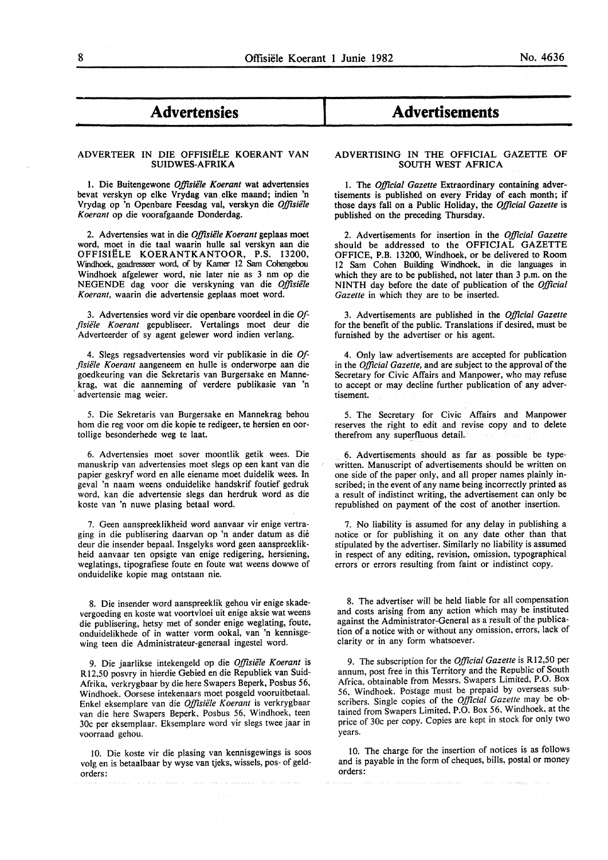## - **Advertensies**

#### ADVERTEER IN DIE OFFISIËLE KOERANT VAN SUIDWE8-AFRIKA

1. Die Buitengewone *Offisiële Koerant* wat advertensies bevat verskyn op elke Vrydag van. elke maand; indien 'n Vrydag op 'n Openbare Feesdag val, verskyn die *Offisiële Koerant* op die voorafgaande Donderdag.

2. Advertensies wat in die *Offisiële Koerant* geplaas moet word, moet in die taal waarin bulle sal verskyn aan die OFFISIËLE KOERANTKANTOOR, P.S. 13200, Windhoek. geadresseer word. of by Kamer 12 Sam Cohengebou Windhoek afgelewer word, nie later nie as 3 nm op die NEGENDE dag voor die verskyning van die Offisiële *Koerant,* waarin die advertensie geplaas moet word.

3. Advertensies word vir die openbare voordeel in die *Ofjisiele Koerant* gepubliseer. Vertalings moet deur die Adverteerder of sy agent gelewer word indien verlang.

4. Slegs regsadvertensies word vir publikasie in die *Offisiele Koerant* aangeneem en bulle is onderworpe aan die goedkeuring van die Sekretaris van Burgersake en Mannekrag, wat die aanneming of verdere publikasie van 'n advertensie mag weier.

5. Die Sekretaris van Burgersake en Mannekrag behou hom die reg voor om die kopie te redigeer, te hersien en oortollige besonderhede weg te laat.

6. Advertensies moet sover moontlik getik wees. Die manuskrip van advertensies moet slegs op een kant van die papier geskryf word en aile eiename moet duidelik wees. In geval 'n naam weens onduidelike handskrif foutief gedruk word, kan die advertensie slegs dan herdruk word as die koste van 'n nuwe plasing betaal word.

7. Geen aanspreeklikheid word aanvaar vir enige vertraging in die publisering daarvan op 'n ander datum as die deur die insender bepaal. Insgelyks word geen aanspreeklikheid aanvaar ten opsigte van enige redigering, hersiening, weglatings, tipografiese foute en foute wat weens dowwe of onduidelike kopie mag ontstaan nie.

8. Die insender word aanspreeklik gehou vir enige skadevergoeding en koste wat voortvloei uit enige aksie wat weens die publisering, hetsy met of sonder enige weglating, foute, onduidelikhede of in watter vorm ookal, van 'n kennisgewing teen die Administrateur-generaal ingestel word.

9. Die jaarlikse intekengeld op die *Offisiele Koerant* is Rl2,50 posvry in hierdie Gebied en die Republiek van Suid-Afrika, verkrygbaar by die here Swapers Beperk, Posbus 56, Windhoek. Oorsese intekenaars moet posgeld vooruitbetaal. Enkel eksemplare van die *Offisiele Koerant* is verkrygbaar van die here Swapers Beperk, Posbus 56, Windhoek, teen 30c per eksemplaar. Eksemplare word vir slegs twee jaar in voorraad gehou.

10. Die koste vir die plasing van kennisgewings is soos volg en is betaalbaar by wyse van tjeks, wissels, pos- of geldorders:

## I **Advertisements**

#### ADVERTISING IN THE OFFICIAL GAZETTE OF SOUTH WEST AFRICA

I. The *Official Gazette* Extraordinary containing advertisements is published on every Friday of each month; if those days fall on a Public Holiday, the *Official Gazette* is published on the preceding Thursday.

2. Advertisements for insertion in the *Official Gazette*  should be addressed to the OFFICIAL GAZETTE OFFICE, P.B. 13200, Windhoek, or be delivered to Room 12 Sam Cohen Building Windhoek, in die languages in which they are to be published, not later than 3 p.m. on the NINTH day before the date of publication of the *Official Gazette* in which they are to be inserted.

3. Advertisements are published in the *Official Gazette*  for the benefit of the public. Translations if desired, must be furnished by the advertiser or his agent.

4. Only law advertisements are accepted for publication in the *Official Gazette,* and are subject to the approval of the Secretary for Civic Affairs and Manpower, who may refuse to accept or may decline further publication of any advertisement.

5. The Secretary for Civic Affairs and Manpower reserves the right to edit and revise copy and to delete therefrom any superfluous detail.

6. Advertisements should as far as possible be typewritten. Manuscript of advertisements should be written on one side of the paper only, and all proper names plainly inscribed; in the event of any name being incorrectly printed as a result of indistinct writing, the advertisement can only be republished on payment of the cost of another insertion.

7. No liability is assumed for any delay in publishing a notice or for publishing it on any date other than that stipulated by the advertiser. Similarly no liability is assumed in respect of any editing, revision, omission, typographical errors or errors resulting from faint or indistinct copy.

8. The advertiser will be held liable for all compensation and costs arising from any action which may be instituted against the Administrator-General as a result of the publication of a notice with or without any omission, errors, lack of clarity or in any form whatsoever.

9. The subscription for the *Official Gazette* is Rl2,50 per annum, post free in this Territory and the Republic of South Africa, obtainable from Messrs. Swapers Limited, P.O. Box 56, Windhoek. Postage must be prepaid by overseas subscribers. Single copies of the *Official Gazette* may be obtained from Swapers Limited, P.O. Box 56. Windhoek. at the price of 30c per copy. Copies are kept in stock for only two years.

10. The charge for the insertion of notices is as follows and is payable in the form of cheques, bills, postal or money orders:

-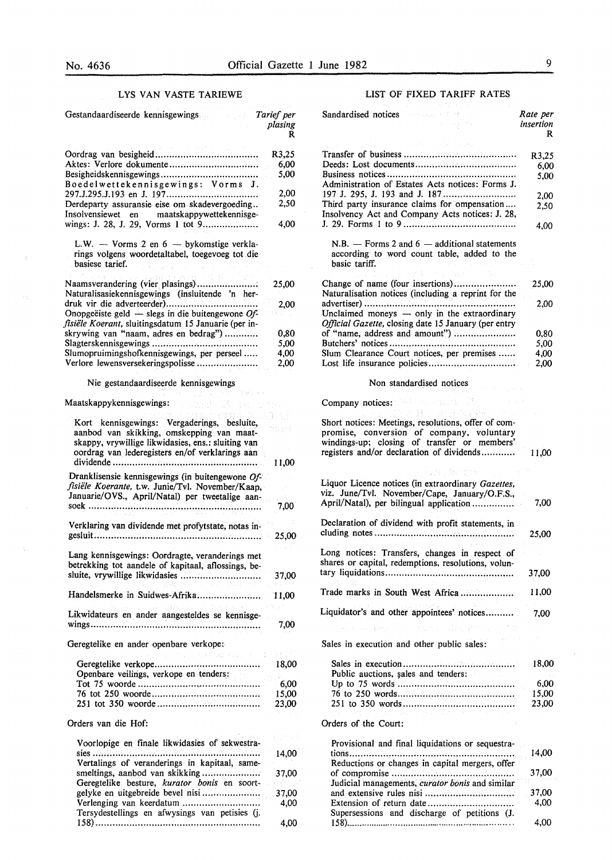$\bar{z}$ 

 $\mathcal{L}$ 

 $\sim$ 

#### LYS VAN VASTE TARIEWE

| Gestandaardiseerde kennisgewings<br><b>Tarief</b> per                                                                                                                                             | plasing<br>R          |
|---------------------------------------------------------------------------------------------------------------------------------------------------------------------------------------------------|-----------------------|
| Aktes: Verlore dokumente<br>Besigheidskennisgewings                                                                                                                                               | R3,25<br>6,00<br>5,00 |
| Boedelwettekennisgewings: Vorms J.                                                                                                                                                                | 2,00                  |
| Derdeparty assuransie eise om skadevergoeding<br>Insolvensiewet en maatskappywettekennisge-                                                                                                       | 2,50<br>4,00          |
| L.W. - Vorms 2 en 6 - bykomstige verkla-<br>rings volgens woordetaltabel, toegevoeg tot die<br>basiese tarief.                                                                                    |                       |
| Naamsverandering (vier plasings)<br>Naturalisasiekennisgewings (insluitende 'n her-                                                                                                               | 25,00                 |
| Onopgeëiste geld $-$ slegs in die buitengewone Of-                                                                                                                                                | 2,00                  |
| fisiële Koerant, sluitingsdatum 15 Januarie (per in-<br>skrywing van "naam, adres en bedrag")                                                                                                     | 0,80                  |
|                                                                                                                                                                                                   | 5,00                  |
| Slumopruimingshofkennisgewings, per perseel                                                                                                                                                       | 4,00                  |
| Verlore lewensversekeringspolisse                                                                                                                                                                 | 2,00                  |
| Nie gestandaardiseerde kennisgewings                                                                                                                                                              |                       |
| Maatskappykennisgewings:                                                                                                                                                                          |                       |
| Kort kennisgewings: Vergaderings, besluite,<br>aanbod van skikking, omskepping van maat-<br>skappy, vrywillige likwidasies, ens.: sluiting van<br>oordrag van lederegisters en/of verklarings aan |                       |
| Dranklisensie kennisgewings (in buitengewone $Of$ -<br>fisiële Koerante, t.w. Junie/Tvl. November/Kaap,<br>Januarie/OVS., April/Natal) per tweetalige aan-                                        | 11,00<br>7,00         |
| Verklaring van dividende met profytstate, notas in-                                                                                                                                               | 25,00                 |
| Lang kennisgewings: Oordragte, veranderings met<br>betrekking tot aandele of kapitaal, aflossings, be-                                                                                            |                       |
| sluite, vrywillige likwidasies<br>Kalendari Serbia                                                                                                                                                | 37,00                 |
| wind a particular                                                                                                                                                                                 | (中間の)                 |
| Likwidateurs en ander aangesteldes se kennisge-                                                                                                                                                   | 7,00                  |
| Geregtelike en ander openbare verkope:                                                                                                                                                            |                       |
| Openbare veilings, verkope en tenders:                                                                                                                                                            |                       |
|                                                                                                                                                                                                   | 6,00<br>15,00         |
| Orders van die Hof:                                                                                                                                                                               |                       |
| Voorlopige en finale likwidasies of sekwestra-                                                                                                                                                    |                       |
| .<br>Vertalings of veranderings in kapitaal, same-                                                                                                                                                | 14,00                 |
| smeltings, aanbod van skikking<br>Geregtelike besture, kurator bonis en soort-                                                                                                                    | 37,00                 |
|                                                                                                                                                                                                   | 37,00                 |
| Verlenging van keerdatum<br>Tersydestellings en afwysings van petisies (j.                                                                                                                        | 4,00                  |

158) ···························································

4,00

#### LIST OF FIXED TARIFF RATES

| Sandardised notices and a series of the series of the series of the series of the series of the series of the series of the series of the series of the series of the series of the series of the series of the series of the<br>بالمعارض والمعرف المناد | Rate per<br>insertion<br>R |
|----------------------------------------------------------------------------------------------------------------------------------------------------------------------------------------------------------------------------------------------------------|----------------------------|
|                                                                                                                                                                                                                                                          |                            |
|                                                                                                                                                                                                                                                          | R3,25                      |
|                                                                                                                                                                                                                                                          | 6,00                       |
| Administration of Estates Acts notices: Forms J.                                                                                                                                                                                                         | 5.00                       |
|                                                                                                                                                                                                                                                          | 2,00                       |
| Third party insurance claims for ompensation<br>Insolvency Act and Company Acts notices: J. 28,                                                                                                                                                          | 2,50                       |
|                                                                                                                                                                                                                                                          | 4,00                       |
| $N.B.$ – Forms 2 and 6 – additional statements<br>according to word count table, added to the<br>basic tariff.                                                                                                                                           |                            |
| Change of name (four insertions)<br>Naturalisation notices (including a reprint for the                                                                                                                                                                  | 25,00                      |
| Unclaimed moneys - only in the extraordinary                                                                                                                                                                                                             | 2.00                       |
| Official Gazette, closing date 15 January (per entry                                                                                                                                                                                                     |                            |
| of "name, address and amount")                                                                                                                                                                                                                           | 0,80                       |
|                                                                                                                                                                                                                                                          | 5,00                       |
| Slum Clearance Court notices, per premises                                                                                                                                                                                                               | 4,00                       |
| Lost life insurance policies                                                                                                                                                                                                                             | 2,00                       |
| Non standardised notices                                                                                                                                                                                                                                 |                            |
| Company notices:<br>크게 말고 있다.                                                                                                                                                                                                                            |                            |
| Short notices: Meetings, resolutions, offer of com-<br>promise, conversion of company, voluntary<br>windings-up; closing of transfer or members'<br>registers and/or declaration of dividends                                                            | 11,00                      |
| ng buday Bandine<br>Liquor Licence notices (in extraordinary Gazettes,<br>viz. June/Tvl. November/Cape, January/O.F.S.,<br>April/Natal), per bilingual application                                                                                       | 7,00                       |
| Declaration of dividend with profit statements, in                                                                                                                                                                                                       | 25,00                      |
| Long notices: Transfers, changes in respect of<br>shares or capital, redemptions, resolutions, volun-                                                                                                                                                    | 37,00                      |
| Trade marks in South West Africa                                                                                                                                                                                                                         | 11,00                      |
|                                                                                                                                                                                                                                                          |                            |
| Liquidator's and other appointees' notices<br>医原子宫神经 人名英格兰人姓氏格尔的变体                                                                                                                                                                                       | - 7,00                     |
| 医异体性 医异<br>Sales in execution and other public sales:                                                                                                                                                                                                    |                            |
|                                                                                                                                                                                                                                                          |                            |
| Public auctions, sales and tenders:                                                                                                                                                                                                                      | 18,00                      |
|                                                                                                                                                                                                                                                          | 6,00                       |
|                                                                                                                                                                                                                                                          | 15,00                      |
|                                                                                                                                                                                                                                                          |                            |
| en al 1970                                                                                                                                                                                                                                               | 23,00                      |
| Orders of the Court:<br>- 4                                                                                                                                                                                                                              |                            |
| Provisional and final liquidations or sequestra-                                                                                                                                                                                                         | 14,00                      |
| Dadnational on about 22 to consider make the "of                                                                                                                                                                                                         |                            |

| riovisional and mial iduldations of sequestia-  | 14.00 |
|-------------------------------------------------|-------|
| Reductions or changes in capital mergers, offer | 37,00 |
| Judicial managements, curator bonis and similar | 37.00 |
|                                                 | 4.00  |
| Supersessions and discharge of petitions (J.    |       |
|                                                 | 4.00  |

 $\epsilon$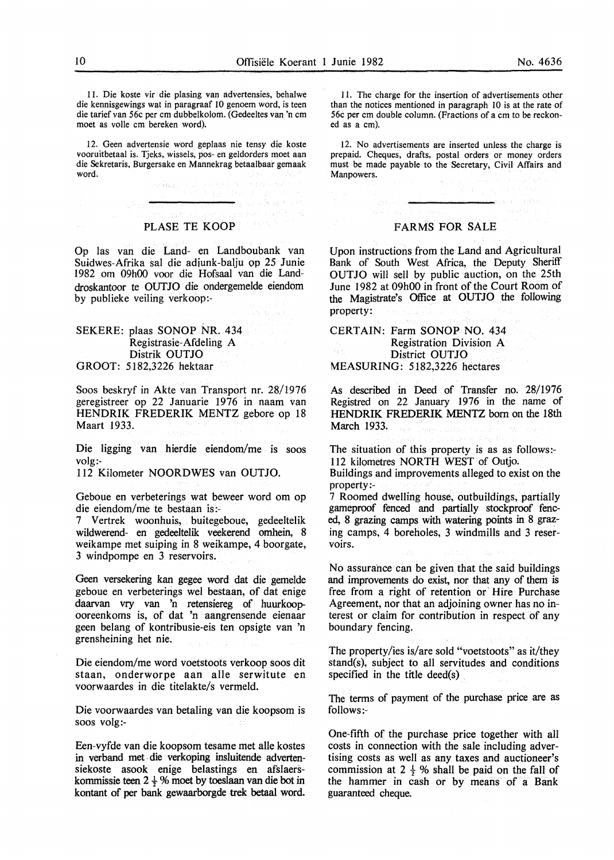I I. Die koste vir die piasing van advertensies, behalwe die kennisgewings wat in paragraaf 10 genoem word, is teen die tarief van 56c per em dubbelkolom. (Gedeeltes van 'n em moet as volle em bereken word).

I2. Geen advertensie word geplaas nie tensy die koste vooruitbetaal is. Tjeks, wissels, pos- en geldorders moet aan die Sekretaris, Burgersake en Mannekrag betaalbaar gemaak word.

大脑心脏、大

the sales house

seriaal oo

#### PLASE TE KOOP

Op las van die Land- en Landboubank van Suidwes-Afrika sal die adiunk-balju op 25 Junie 1982 om 09h00 voor die Hofsaal van die Landdroskantoor te OUTJO die ondergemelde eiendom by publieke veiling verkoop:-

#### SEKERE: plaas SONOP NR. 434 Registrasie-Afdeling A Distrik OUTJO GROOT: 5182,3226 hektaar

Soos beskryf in Akte van Transport nr. 28/1976 geregistreer op 22 Januarie 1976 in naam van HENDRIK FREDERIK MENTZ gebore op 18 Maart 1933.

Die ligging van hierdie eiendom/me is soos volg:-

112 Kilometer NOORDWES van OUTJO.

Geboue en verbeterings wat beweer word om op die eiendom/me te bestaan is:-

7 Vertrek woonhuis, buitegeboue, gedeeltelik wildwerend- en gedeeltelik veekerend omhein, 8 weikampe met suiping in 8 weikampe, 4 boorgate, 3 windpompe en 3 reservoirs.

Geen versekering kan gegee word dat die gemelde geboue en verbeterings wel bestaan, of dat enige daarvan vry van 'n retensiereg of huurkoopooreenkoms is, of dat 'n aangrensende eienaar geen belang of kontribusie-eis ten opsigte van 'n grensheining het nie.

Die eiendom/me word voetstoots verkoop soos dit staan, onderworpe aan aile serwitute en voorwaardes in die titelakte/s vermeld.

Die voorwaardes van betaling van die koopsom is soos volg:-

Een-vyfde van die koopsom tesame met aile kostes in verband met. die verkoping insluitende advertensiekoste asook enige belastings en afslaerskommissie teen 2  $\frac{1}{2}$ % moet by toeslaan van die bot in kontant of per bank gewaarborgde trek betaal word.

I I. The charge for the insertion of advertisements other than the notices mentioned in paragraph 10 is at the rate of 56c per em double column. (Fractions of a em to be reckoned as a em).

12. No advertisements are inserted unless the charge is prepaid. Cheques, drafts, postal orders or money orders must be made payable to the Secretary, Civil Affairs and Manpowers.

#### FARMS FOR SALE

Upon instructions from the Land and Agricultural Bank of South West Africa, the Deputy Sheriff OUTJO will sell by public auction, on the 25th June 1982 at 09h00 in front of the Court Room of the Magistrate's Office at OUTJO the following property:

CERTAIN: Farm SONOP NO. 434 Registration Division A District OUTJO MEASURING: 5182,3226 hectares

As described in Deed of Transfer no. 28/1976 Registred on 22 January 1976 in the name of HENDRIK FREDERIK MENTZ born on the 18th March 1933.

The situation of this property is as as follows:- 112 kilometres NORTH WEST of Outjo.

Buildings and improvements alleged to exist on the property:-

7 Roomed dwelling house, outbuildings, partially gameproof fenced and partially stockproof fenced, 8 grazing camps with watering points in 8 grazing camps, 4 boreholes, 3 windmills and 3 reservoirs.

No assurance can be given that the said buildings and improvements do exist, nor that any of them is free from a right of retention or Hire Purchase Agreement, nor that an adjoining owner has no interest or claim for contribution in respect of any boundary fencing.

The property/ies is/are sold "voetstoots" as it/they stand(s), subject to all servitudes and conditions specified in the title deed(s)

The terms of payment of the purchase price are as follows:-

One-fifth of the purchase price together with all costs in connection with the sale including advertising costs as well as any taxes and auctioneer's commission at  $2 \frac{1}{2}$ % shall be paid on the fall of the hammer in cash or by means of a Bank guaranteed cheque.